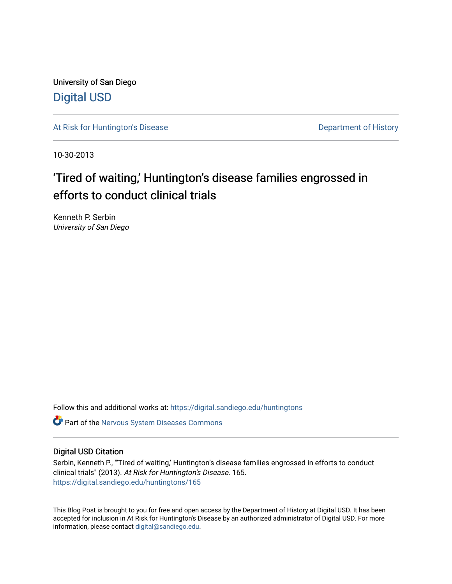University of San Diego [Digital USD](https://digital.sandiego.edu/)

[At Risk for Huntington's Disease](https://digital.sandiego.edu/huntingtons) **Department of History** Department of History

10-30-2013

# 'Tired of waiting,' Huntington's disease families engrossed in efforts to conduct clinical trials

Kenneth P. Serbin University of San Diego

Follow this and additional works at: [https://digital.sandiego.edu/huntingtons](https://digital.sandiego.edu/huntingtons?utm_source=digital.sandiego.edu%2Fhuntingtons%2F165&utm_medium=PDF&utm_campaign=PDFCoverPages)

**C** Part of the [Nervous System Diseases Commons](http://network.bepress.com/hgg/discipline/928?utm_source=digital.sandiego.edu%2Fhuntingtons%2F165&utm_medium=PDF&utm_campaign=PDFCoverPages)

# Digital USD Citation

Serbin, Kenneth P., "'Tired of waiting,' Huntington's disease families engrossed in efforts to conduct clinical trials" (2013). At Risk for Huntington's Disease. 165. [https://digital.sandiego.edu/huntingtons/165](https://digital.sandiego.edu/huntingtons/165?utm_source=digital.sandiego.edu%2Fhuntingtons%2F165&utm_medium=PDF&utm_campaign=PDFCoverPages)

This Blog Post is brought to you for free and open access by the Department of History at Digital USD. It has been accepted for inclusion in At Risk for Huntington's Disease by an authorized administrator of Digital USD. For more information, please contact [digital@sandiego.edu.](mailto:digital@sandiego.edu)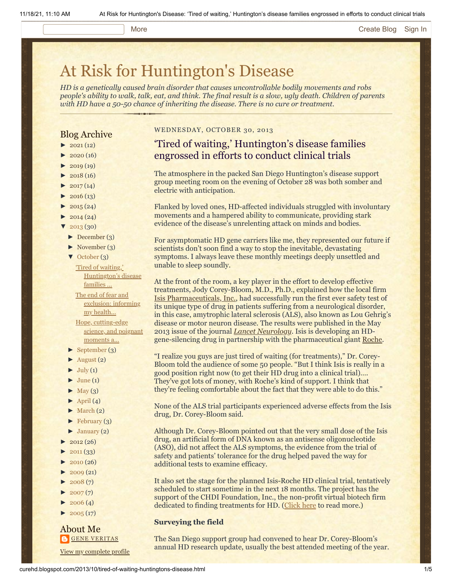# More **[Create Blog](https://www.blogger.com/home#create) [Sign In](https://www.blogger.com/)**

# [At Risk for Huntington's Disease](http://curehd.blogspot.com/)

*HD is a genetically caused brain disorder that causes uncontrollable bodily movements and robs people's ability to walk, talk, eat, and think. The final result is a slow, ugly death. Children of parents with HD have a 50-50 chance of inheriting the disease. There is no cure or treatment.*

# Blog Archive

- $\blacktriangleright$  [2021](http://curehd.blogspot.com/2021/)(12)
- $2020(16)$  $2020(16)$
- $2019(19)$  $2019(19)$
- $\blacktriangleright$  [2018](http://curehd.blogspot.com/2018/) (16)
- $2017(14)$  $2017(14)$
- $2016(13)$  $2016(13)$
- $\blacktriangleright$  [2015](http://curehd.blogspot.com/2015/) (24)
- $\blacktriangleright$  [2014](http://curehd.blogspot.com/2014/) (24)
- $'$  [2013](http://curehd.blogspot.com/2013/) (30)
	- [►](javascript:void(0)) [December](http://curehd.blogspot.com/2013/12/) (3)
	- [►](javascript:void(0)) [November](http://curehd.blogspot.com/2013/11/) (3)
	- [▼](javascript:void(0)) [October](http://curehd.blogspot.com/2013/10/) (3)

'Tired of waiting,' [Huntington's](http://curehd.blogspot.com/2013/10/tired-of-waiting-huntingtons-disease.html) disease families ... The end of fear and [exclusion:](http://curehd.blogspot.com/2013/10/the-end-of-fear-and-exclusion-informing.html) informing my health... Hope, [cutting-edge](http://curehd.blogspot.com/2013/10/hope-cutting-edge-science-and-poignant.html) science, and poignant moments a...

- [►](javascript:void(0)) [September](http://curehd.blogspot.com/2013/09/) (3)
- [►](javascript:void(0)) [August](http://curehd.blogspot.com/2013/08/) (2)
- $\blacktriangleright$  [July](http://curehd.blogspot.com/2013/07/) (1)
- $\blacktriangleright$  [June](http://curehd.blogspot.com/2013/06/) (1)
- $\blacktriangleright$  [May](http://curehd.blogspot.com/2013/05/) (3)
- $\blacktriangleright$  [April](http://curehd.blogspot.com/2013/04/) (4)
- $\blacktriangleright$  [March](http://curehd.blogspot.com/2013/03/) (2)
- $\blacktriangleright$  [February](http://curehd.blogspot.com/2013/02/) (3)
- $\blacktriangleright$  [January](http://curehd.blogspot.com/2013/01/) (2)
- $2012(26)$  $2012(26)$
- $2011(33)$  $2011(33)$
- $2010(26)$  $2010(26)$
- $2009(21)$  $2009(21)$
- $2008(7)$  $2008(7)$
- $2007(7)$  $2007(7)$
- $\blacktriangleright$  [2006](http://curehd.blogspot.com/2006/) (4)
- $\blacktriangleright$  [2005](http://curehd.blogspot.com/2005/) (17)

## About Me **GENE [VERITAS](https://www.blogger.com/profile/10911736205741688185)**

View my [complete](https://www.blogger.com/profile/10911736205741688185) profile

# WEDNESDAY, OCTOBER 30, 2013

# 'Tired of waiting,' Huntington's disease families engrossed in efforts to conduct clinical trials

The atmosphere in the packed San Diego Huntington's disease support group meeting room on the evening of October 28 was both somber and electric with anticipation.

Flanked by loved ones, HD-affected individuals struggled with involuntary movements and a hampered ability to communicate, providing stark evidence of the disease's unrelenting attack on minds and bodies.

For asymptomatic HD gene carriers like me, they represented our future if scientists don't soon find a way to stop the inevitable, devastating symptoms. I always leave these monthly meetings deeply unsettled and unable to sleep soundly.

At the front of the room, a key player in the effort to develop effective treatments, Jody Corey-Bloom, M.D., Ph.D., explained how the local firm [Isis Pharmaceuticals, Inc.](http://www.isispharm.com/index.htm), had successfully run the first ever safety test of its unique type of drug in patients suffering from a neurological disorder, in this case, amytrophic lateral sclerosis (ALS), also known as Lou Gehrig's disease or motor neuron disease. The results were published in the May 2013 issue of the journal *[Lancet Neurology](http://millerlab.wustl.edu/publications/Miller_AntisensePhase1Study_Lancet.pdf)*. Isis is developing an HDgene-silencing drug in partnership with the pharmaceutical giant [Roche.](http://www.roche.com/index.htm)

"I realize you guys are just tired of waiting (for treatments)," Dr. Corey-Bloom told the audience of some 50 people. "But I think Isis is really in a good position right now (to get their HD drug into a clinical trial)…. They've got lots of money, with Roche's kind of support. I think that they're feeling comfortable about the fact that they were able to do this."

None of the ALS trial participants experienced adverse effects from the Isis drug, Dr. Corey-Bloom said.

Although Dr. Corey-Bloom pointed out that the very small dose of the Isis drug, an artificial form of DNA known as an antisense oligonucleotide (ASO), did not affect the ALS symptoms, the evidence from the trial of safety and patients' tolerance for the drug helped paved the way for additional tests to examine efficacy.

It also set the stage for the planned Isis-Roche HD clinical trial, tentatively scheduled to start sometime in the next 18 months. The project has the support of the CHDI Foundation, Inc., the non-profit virtual biotech firm dedicated to finding treatments for HD. [\(Click here](http://curehd.blogspot.com/2013/04/quickening-pace-towards-huntingtons.html) to read more.)

# **Surveying the field**

The San Diego support group had convened to hear Dr. Corey-Bloom's annual HD research update, usually the best attended meeting of the year.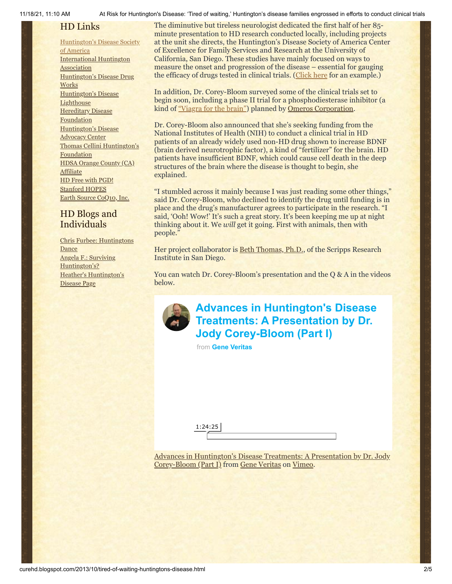11/18/21, 11:10 AM At Risk for Huntington's Disease: 'Tired of waiting,' Huntington's disease families engrossed in efforts to conduct clinical trials

# HD Links

[Huntington's](http://www.hdsa.org/) Disease Society of America [International](http://www.huntington-assoc.com/) Huntington **Association** [Huntington's](http://hddrugworks.org/) Disease Drug **Works** [Huntington's](http://www.hdlighthouse.org/) Disease **Lighthouse Hereditary Disease [Foundation](http://www.hdfoundation.org/)** [Huntington's](http://www.hdac.org/) Disease Advocacy Center Thomas [Cellini Huntington's](http://www.ourtchfoundation.org/) **Foundation** HDSA Orange County (CA) **[Affiliate](http://www.hdsaoc.org/)** HD Free with [PGD!](http://www.hdfreewithpgd.com/) [Stanford](http://www.stanford.edu/group/hopes/) HOPES Earth Source [CoQ10,](http://www.escoq10.com/) Inc.

# HD Blogs and Individuals

Chris Furbee: [Huntingtons](http://www.huntingtonsdance.org/) Dance Angela F.: Surviving [Huntington's?](http://survivinghuntingtons.blogspot.com/) Heather's [Huntington's](http://heatherdugdale.angelfire.com/) Disease Page

The diminutive but tireless neurologist dedicated the first half of her 85 minute presentation to HD research conducted locally, including projects at the unit she directs, the Huntington's Disease Society of America Center of Excellence for Family Services and Research at the University of California, San Diego. These studies have mainly focused on ways to measure the onset and progression of the disease – essential for gauging the efficacy of drugs tested in clinical trials. ([Click here](http://curehd.blogspot.com/2009/07/great-reasons-to-be-guinea-pig.html) for an example.)

In addition, Dr. Corey-Bloom surveyed some of the clinical trials set to begin soon, including a phase II trial for a phosphodiesterase inhibitor (a kind of ["Viagra for the brain"\)](http://curehd.blogspot.com/2012/06/yales-partnership-against-huntingtons.html) planned by [Omeros Corporation.](http://www.prnewswire.com/news-releases/fda-grants-orphan-drug-designation-to-omeros-oms824-for-huntingtons-disease-225778021.html)

Dr. Corey-Bloom also announced that she's seeking funding from the National Institutes of Health (NIH) to conduct a clinical trial in HD patients of an already widely used non-HD drug shown to increase BDNF (brain derived neurotrophic factor), a kind of "fertilizer" for the brain. HD patients have insufficient BDNF, which could cause cell death in the deep structures of the brain where the disease is thought to begin, she explained.

"I stumbled across it mainly because I was just reading some other things," said Dr. Corey-Bloom, who declined to identify the drug until funding is in place and the drug's manufacturer agrees to participate in the research. "I said, 'Ooh! Wow!' It's such a great story. It's been keeping me up at night thinking about it. We *will* get it going. First with animals, then with people."

Her project collaborator is **Beth Thomas, Ph.D.**, of the Scripps Research Institute in San Diego.

You can watch Dr. Corey-Bloom's presentation and the Q & A in the videos below.



**[Advances in Huntington's Disease](https://vimeo.com/78077486?embedded=true&source=video_title&owner=6019843) Treatments: A Presentation by Dr. Jody Corey-Bloom (Part I)**

from **[Gene Veritas](https://vimeo.com/user6019843?embedded=true&source=owner_name&owner=6019843)**

1:24:25

[Advances in Huntington's Disease Treatments: A Presentation by Dr. Jody](http://vimeo.com/78077486) Corey-Bloom (Part I) from [Gene Veritas](http://vimeo.com/user6019843) on [Vimeo](https://vimeo.com/).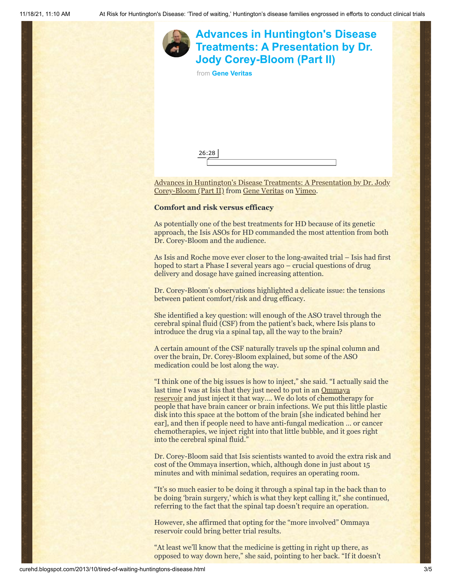

Corey-Bloom (Part II) from [Gene Veritas](http://vimeo.com/user6019843) on [Vimeo](https://vimeo.com/).

### **Comfort and risk versus efficacy**

As potentially one of the best treatments for HD because of its genetic approach, the Isis ASOs for HD commanded the most attention from both Dr. Corey-Bloom and the audience.

As Isis and Roche move ever closer to the long-awaited trial – Isis had first hoped to start a Phase I several years ago – crucial questions of drug delivery and dosage have gained increasing attention.

Dr. Corey-Bloom's observations highlighted a delicate issue: the tensions between patient comfort/risk and drug efficacy.

She identified a key question: will enough of the ASO travel through the cerebral spinal fluid (CSF) from the patient's back, where Isis plans to introduce the drug via a spinal tap, all the way to the brain?

A certain amount of the CSF naturally travels up the spinal column and over the brain, Dr. Corey-Bloom explained, but some of the ASO medication could be lost along the way.

"I think one of the big issues is how to inject," she said. "I actually said the last time I was at Isis that they just need to put in an Ommaya reservoir [and just inject it that way…. We do lots of chemother](http://www.healthline.com/galecontent/ommaya-reservoir)apy for people that have brain cancer or brain infections. We put this little plastic disk into this space at the bottom of the brain [she indicated behind her ear], and then if people need to have anti-fungal medication … or cancer chemotherapies, we inject right into that little bubble, and it goes right into the cerebral spinal fluid."

Dr. Corey-Bloom said that Isis scientists wanted to avoid the extra risk and cost of the Ommaya insertion, which, although done in just about 15 minutes and with minimal sedation, requires an operating room.

"It's so much easier to be doing it through a spinal tap in the back than to be doing 'brain surgery,' which is what they kept calling it," she continued, referring to the fact that the spinal tap doesn't require an operation.

However, she affirmed that opting for the "more involved" Ommaya reservoir could bring better trial results.

"At least we'll know that the medicine is getting in right up there, as opposed to way down here," she said, pointing to her back. "If it doesn't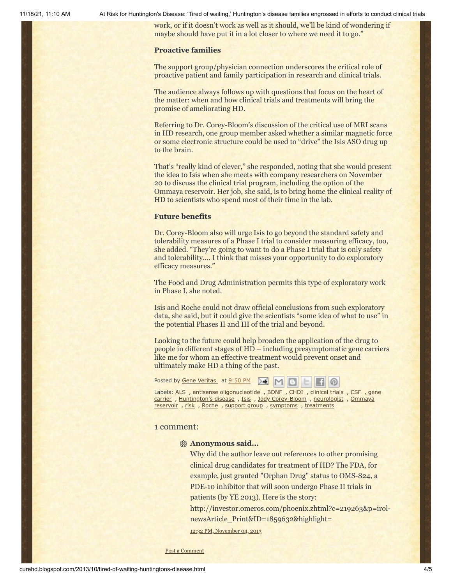11/18/21, 11:10 AM At Risk for Huntington's Disease: 'Tired of waiting,' Huntington's disease families engrossed in efforts to conduct clinical trials

work, or if it doesn't work as well as it should, we'll be kind of wondering if maybe should have put it in a lot closer to where we need it to go."

### **Proactive families**

The support group/physician connection underscores the critical role of proactive patient and family participation in research and clinical trials.

The audience always follows up with questions that focus on the heart of the matter: when and how clinical trials and treatments will bring the promise of ameliorating HD.

Referring to Dr. Corey-Bloom's discussion of the critical use of MRI scans in HD research, one group member asked whether a similar magnetic force or some electronic structure could be used to "drive" the Isis ASO drug up to the brain.

That's "really kind of clever," she responded, noting that she would present the idea to Isis when she meets with company researchers on November 20 to discuss the clinical trial program, including the option of the Ommaya reservoir. Her job, she said, is to bring home the clinical reality of HD to scientists who spend most of their time in the lab.

### **Future benefits**

Dr. Corey-Bloom also will urge Isis to go beyond the standard safety and tolerability measures of a Phase I trial to consider measuring efficacy, too, she added. "They're going to want to do a Phase I trial that is only safety and tolerability…. I think that misses your opportunity to do exploratory efficacy measures."

The Food and Drug Administration permits this type of exploratory work in Phase I, she noted.

Isis and Roche could not draw official conclusions from such exploratory data, she said, but it could give the scientists "some idea of what to use" in the potential Phases II and III of the trial and beyond.

Looking to the future could help broaden the application of the drug to people in different stages of HD – including presymptomatic gene carriers like me for whom an effective treatment would prevent onset and ultimately make HD a thing of the past.

| Posted by Gene Veritas at 9:50 PM M M B E H M                                                                                                                |
|--------------------------------------------------------------------------------------------------------------------------------------------------------------|
| Labels: ALS, antisense oligonucleotide, BDNF, CHDI, clinical trials, CSF, gene<br>carrier, Huntington's disease, Isis, Jody Corey-Bloom, neurologist, Ommaya |
| reservoir, risk, Roche, support group, symptoms, treatments                                                                                                  |

### 1 comment:

# **Anonymous said...**

Why did the author leave out references to other promising clinical drug candidates for treatment of HD? The FDA, for example, just granted "Orphan Drug" status to OMS-824, a PDE-10 inhibitor that will soon undergo Phase II trials in patients (by YE 2013). Here is the story:

http://investor.omeros.com/phoenix.zhtml?c=219263&p=irolnewsArticle\_Print&ID=1859632&highlight=

12:32 PM, [November](http://curehd.blogspot.com/2013/10/tired-of-waiting-huntingtons-disease.html?showComment=1383597166015#c5521859715693900295) 04, 2013

Post a [Comment](https://www.blogger.com/comment.g?blogID=10081281&postID=5470080928347710925&isPopup=true)